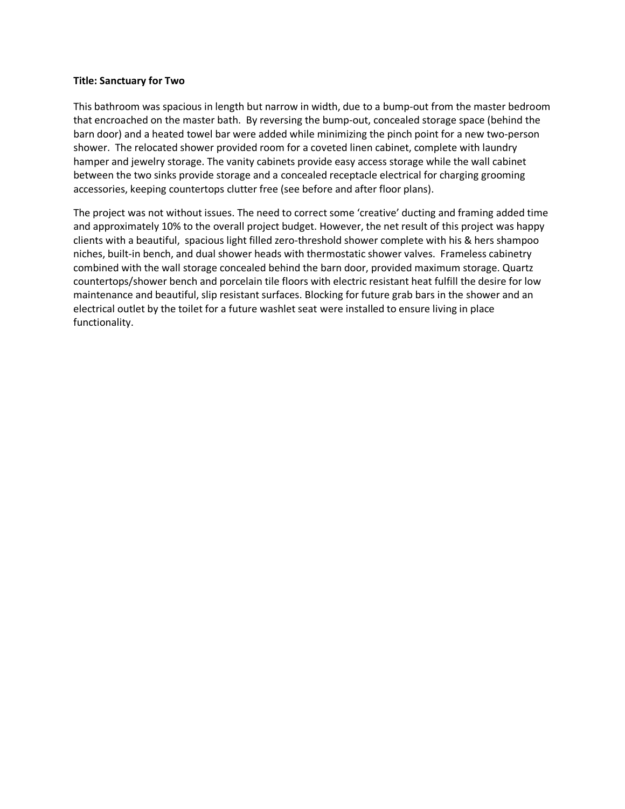## **Title: Sanctuary for Two**

This bathroom was spacious in length but narrow in width, due to a bump-out from the master bedroom that encroached on the master bath. By reversing the bump-out, concealed storage space (behind the barn door) and a heated towel bar were added while minimizing the pinch point for a new two-person shower. The relocated shower provided room for a coveted linen cabinet, complete with laundry hamper and jewelry storage. The vanity cabinets provide easy access storage while the wall cabinet between the two sinks provide storage and a concealed receptacle electrical for charging grooming accessories, keeping countertops clutter free (see before and after floor plans).

The project was not without issues. The need to correct some 'creative' ducting and framing added time and approximately 10% to the overall project budget. However, the net result of this project was happy clients with a beautiful, spacious light filled zero-threshold shower complete with his & hers shampoo niches, built-in bench, and dual shower heads with thermostatic shower valves. Frameless cabinetry combined with the wall storage concealed behind the barn door, provided maximum storage. Quartz countertops/shower bench and porcelain tile floors with electric resistant heat fulfill the desire for low maintenance and beautiful, slip resistant surfaces. Blocking for future grab bars in the shower and an electrical outlet by the toilet for a future washlet seat were installed to ensure living in place functionality.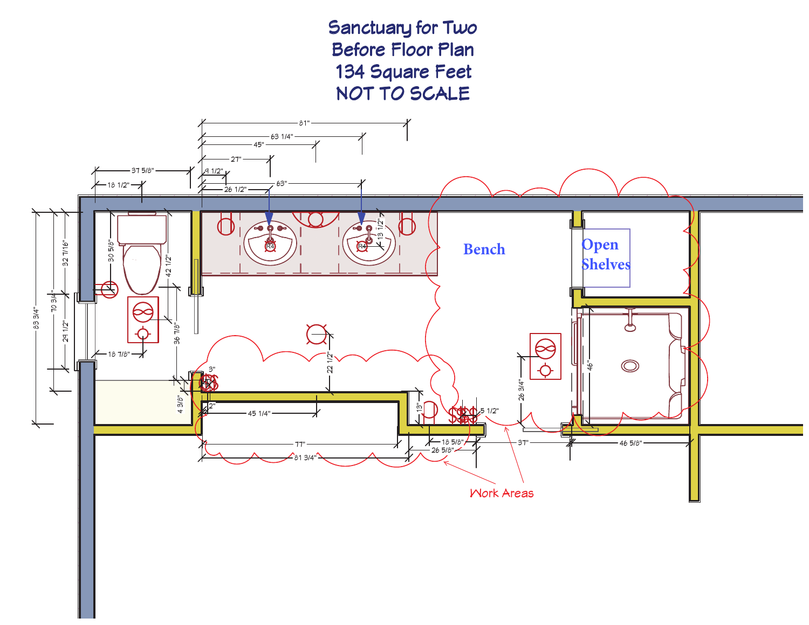